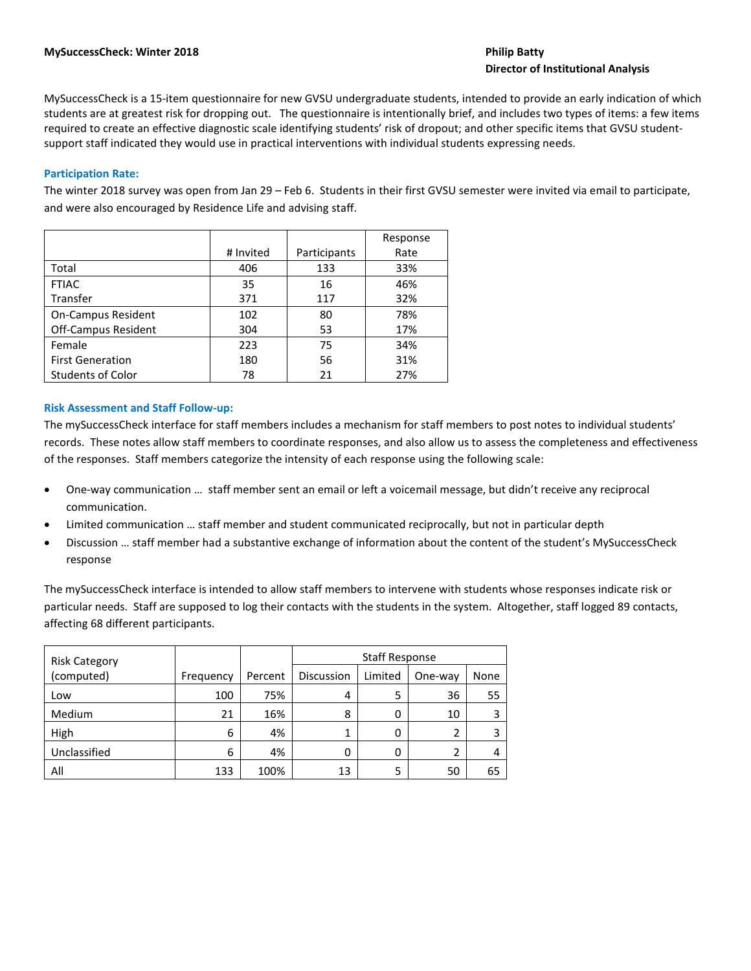# **Director of Institutional Analysis**

MySuccessCheck is a 15-item questionnaire for new GVSU undergraduate students, intended to provide an early indication of which students are at greatest risk for dropping out. The questionnaire is intentionally brief, and includes two types of items: a few items required to create an effective diagnostic scale identifying students' risk of dropout; and other specific items that GVSU studentsupport staff indicated they would use in practical interventions with individual students expressing needs.

## **Participation Rate:**

The winter 2018 survey was open from Jan 29 – Feb 6. Students in their first GVSU semester were invited via email to participate, and were also encouraged by Residence Life and advising staff.

|                            |           |              | Response |
|----------------------------|-----------|--------------|----------|
|                            | # Invited | Participants | Rate     |
| Total                      | 406       | 133          | 33%      |
| <b>FTIAC</b>               | 35        | 16           | 46%      |
| Transfer                   | 371       | 117          | 32%      |
| <b>On-Campus Resident</b>  | 102       | 80           | 78%      |
| <b>Off-Campus Resident</b> | 304       | 53           | 17%      |
| Female                     | 223       | 75           | 34%      |
| <b>First Generation</b>    | 180       | 56           | 31%      |
| <b>Students of Color</b>   | 78        | 21           | 27%      |

## **Risk Assessment and Staff Follow-up:**

The mySuccessCheck interface for staff members includes a mechanism for staff members to post notes to individual students' records. These notes allow staff members to coordinate responses, and also allow us to assess the completeness and effectiveness of the responses. Staff members categorize the intensity of each response using the following scale:

- One-way communication … staff member sent an email or left a voicemail message, but didn't receive any reciprocal communication.
- Limited communication … staff member and student communicated reciprocally, but not in particular depth
- Discussion … staff member had a substantive exchange of information about the content of the student's MySuccessCheck response

The mySuccessCheck interface is intended to allow staff members to intervene with students whose responses indicate risk or particular needs. Staff are supposed to log their contacts with the students in the system. Altogether, staff logged 89 contacts, affecting 68 different participants.

| <b>Risk Category</b> |           |         | <b>Staff Response</b> |         |         |      |
|----------------------|-----------|---------|-----------------------|---------|---------|------|
| (computed)           | Frequency | Percent | <b>Discussion</b>     | Limited | One-way | None |
| Low                  | 100       | 75%     | 4                     |         | 36      | 55   |
| Medium               | 21        | 16%     | 8                     |         | 10      |      |
| High                 | 6         | 4%      |                       |         | 2       |      |
| Unclassified         | 6         | 4%      | 0                     |         | 2       |      |
| All                  | 133       | 100%    | 13                    |         | 50      | 65   |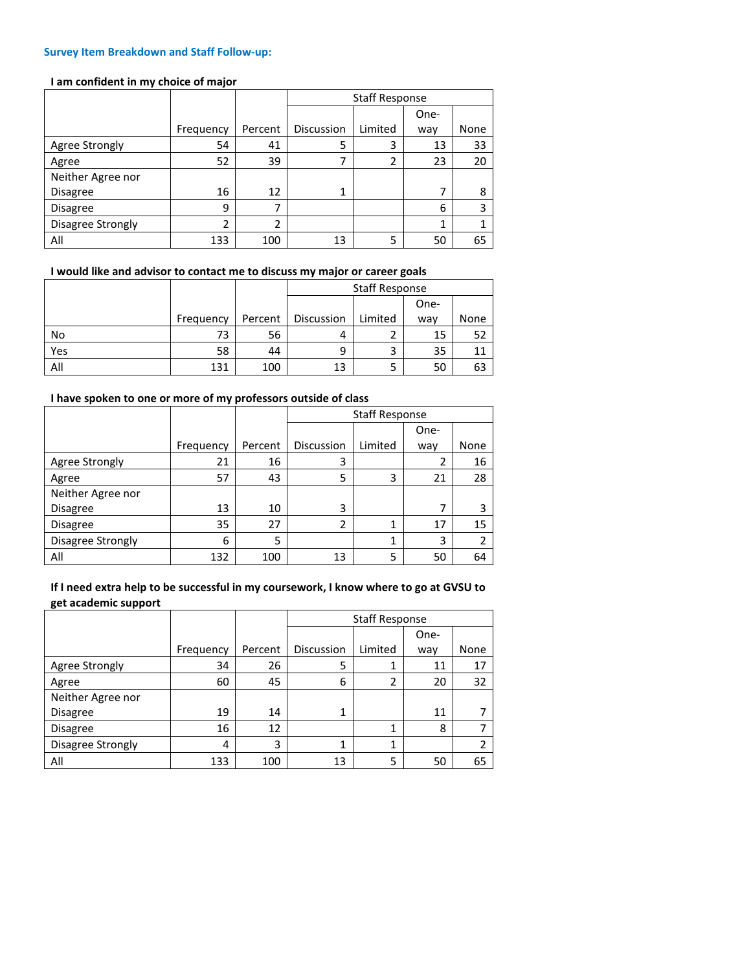#### **Survey Item Breakdown and Staff Follow-up:**

### **I am confident in my choice of major**

|                   |           |         | <b>Staff Response</b> |         |      |      |
|-------------------|-----------|---------|-----------------------|---------|------|------|
|                   |           |         |                       |         | One- |      |
|                   | Frequency | Percent | <b>Discussion</b>     | Limited | way  | None |
| Agree Strongly    | 54        | 41      | 5                     | 3       | 13   | 33   |
| Agree             | 52        | 39      |                       | 2       | 23   | 20   |
| Neither Agree nor |           |         |                       |         |      |      |
| <b>Disagree</b>   | 16        | 12      | 1                     |         | 7    | 8    |
| Disagree          | 9         |         |                       |         | 6    | 3    |
| Disagree Strongly | 2         | 2       |                       |         | 1    |      |
| All               | 133       | 100     | 13                    | 5       | 50   | 65   |

## **I would like and advisor to contact me to discuss my major or career goals**

|     |           |         | <b>Staff Response</b> |         |      |      |
|-----|-----------|---------|-----------------------|---------|------|------|
|     |           |         |                       |         | One- |      |
|     | Frequency | Percent | Discussion            | Limited | way  | None |
| No  | 73        | 56      | 4                     |         | 15   | 52   |
| Yes | 58        | 44      | 9                     | 3       | 35   |      |
| All | 131       | 100     | 13                    |         | 50   | 63   |

## **I have spoken to one or more of my professors outside of class**

|                   |           |         | <b>Staff Response</b> |         |      |      |  |
|-------------------|-----------|---------|-----------------------|---------|------|------|--|
|                   |           |         |                       |         | One- |      |  |
|                   | Frequency | Percent | Discussion            | Limited | way  | None |  |
| Agree Strongly    | 21        | 16      | 3                     |         | 2    | 16   |  |
| Agree             | 57        | 43      | 5                     | 3       | 21   | 28   |  |
| Neither Agree nor |           |         |                       |         |      |      |  |
| Disagree          | 13        | 10      | 3                     |         | 7    | 3    |  |
| Disagree          | 35        | 27      | 2                     | 1       | 17   | 15   |  |
| Disagree Strongly | 6         | 5       |                       | 1       | 3    |      |  |
| All               | 132       | 100     | 13                    | 5       | 50   | 64   |  |

# **If I need extra help to be successful in my coursework, I know where to go at GVSU to get academic support**

|                   |           |         | <b>Staff Response</b> |              |      |      |  |
|-------------------|-----------|---------|-----------------------|--------------|------|------|--|
|                   |           |         |                       |              | One- |      |  |
|                   | Frequency | Percent | Discussion            | Limited      | way  | None |  |
| Agree Strongly    | 34        | 26      | 5                     | 1            | 11   | 17   |  |
| Agree             | 60        | 45      | 6                     | 2            | 20   | 32   |  |
| Neither Agree nor |           |         |                       |              |      |      |  |
| <b>Disagree</b>   | 19        | 14      | 1                     |              | 11   |      |  |
| Disagree          | 16        | 12      |                       | 1            | 8    |      |  |
| Disagree Strongly | 4         | 3       | 1                     | $\mathbf{1}$ |      |      |  |
| All               | 133       | 100     | 13                    | 5            | 50   | 65   |  |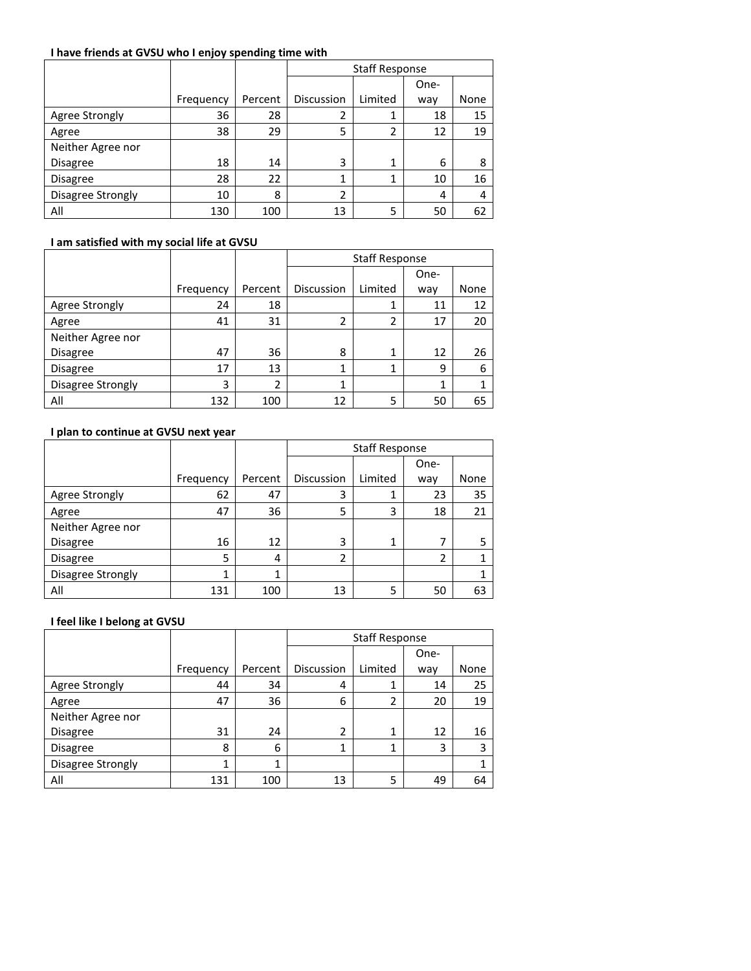## **I have friends at GVSU who I enjoy spending time with**

|                   |           |         | <b>Staff Response</b> |         |      |      |
|-------------------|-----------|---------|-----------------------|---------|------|------|
|                   |           |         |                       |         | One- |      |
|                   | Frequency | Percent | Discussion            | Limited | way  | None |
| Agree Strongly    | 36        | 28      |                       | 1       | 18   | 15   |
| Agree             | 38        | 29      | 5                     | 2       | 12   | 19   |
| Neither Agree nor |           |         |                       |         |      |      |
| Disagree          | 18        | 14      | 3                     | 1       | 6    | 8    |
| Disagree          | 28        | 22      | 1                     | 1       | 10   | 16   |
| Disagree Strongly | 10        | 8       | 2                     |         | 4    | 4    |
| All               | 130       | 100     | 13                    | 5       | 50   | 62   |

# **I am satisfied with my social life at GVSU**

|                   |           |               | <b>Staff Response</b> |         |      |      |  |
|-------------------|-----------|---------------|-----------------------|---------|------|------|--|
|                   |           |               |                       |         | One- |      |  |
|                   | Frequency | Percent       | Discussion            | Limited | way  | None |  |
| Agree Strongly    | 24        | 18            |                       | 1       | 11   | 12   |  |
| Agree             | 41        | 31            | 2                     | 2       | 17   | 20   |  |
| Neither Agree nor |           |               |                       |         |      |      |  |
| Disagree          | 47        | 36            | 8                     | 1       | 12   | 26   |  |
| Disagree          | 17        | 13            | 1                     | 1       | 9    | 6    |  |
| Disagree Strongly | 3         | $\mathfrak z$ | 1                     |         | 1    |      |  |
| All               | 132       | 100           | 12                    | 5       | 50   | 65   |  |

# **I plan to continue at GVSU next year**

|                   |           |         | <b>Staff Response</b> |         |      |      |  |
|-------------------|-----------|---------|-----------------------|---------|------|------|--|
|                   |           |         |                       |         | One- |      |  |
|                   | Frequency | Percent | Discussion            | Limited | way  | None |  |
| Agree Strongly    | 62        | 47      | 3                     | 1       | 23   | 35   |  |
| Agree             | 47        | 36      | 5                     | 3       | 18   | 21   |  |
| Neither Agree nor |           |         |                       |         |      |      |  |
| Disagree          | 16        | 12      | 3                     | 1       | 7    | 5    |  |
| Disagree          | 5         | 4       | $\mathfrak{p}$        |         | 2    |      |  |
| Disagree Strongly | 1         |         |                       |         |      |      |  |
| All               | 131       | 100     | 13                    | 5       | 50   | 63   |  |

## **I feel like I belong at GVSU**

|                   |           |         | <b>Staff Response</b> |         |      |      |
|-------------------|-----------|---------|-----------------------|---------|------|------|
|                   |           |         |                       |         | One- |      |
|                   | Frequency | Percent | <b>Discussion</b>     | Limited | way  | None |
| Agree Strongly    | 44        | 34      | 4                     |         | 14   | 25   |
| Agree             | 47        | 36      | 6                     | 2       | 20   | 19   |
| Neither Agree nor |           |         |                       |         |      |      |
| <b>Disagree</b>   | 31        | 24      | 2                     |         | 12   | 16   |
| <b>Disagree</b>   | 8         | 6       | 1                     |         | 3    | 3    |
| Disagree Strongly | 1         |         |                       |         |      |      |
| All               | 131       | 100     | 13                    | 5       | 49   | 64   |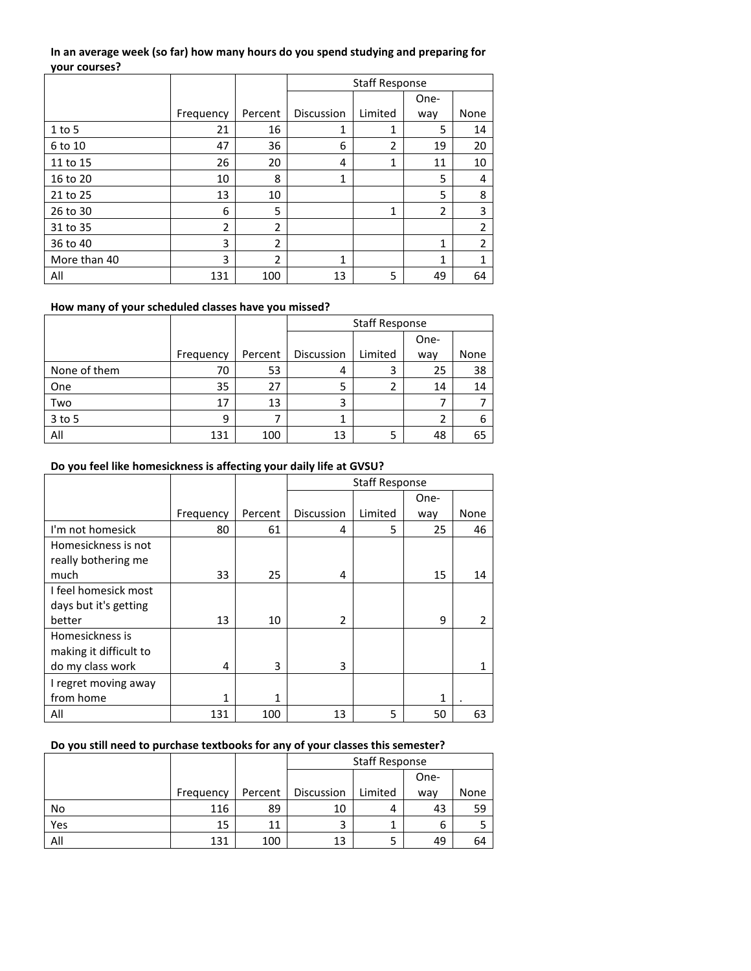## **In an average week (so far) how many hours do you spend studying and preparing for your courses?**

|              |                |                | <b>Staff Response</b> |                |                |                |
|--------------|----------------|----------------|-----------------------|----------------|----------------|----------------|
|              |                |                |                       |                | One-           |                |
|              | Frequency      | Percent        | Discussion            | Limited        | way            | None           |
| $1$ to 5     | 21             | 16             | 1                     | 1              | 5              | 14             |
| 6 to 10      | 47             | 36             | 6                     | $\overline{2}$ | 19             | 20             |
| 11 to 15     | 26             | 20             | 4                     | 1              | 11             | 10             |
| 16 to 20     | 10             | 8              | 1                     |                | 5              | 4              |
| 21 to 25     | 13             | 10             |                       |                | 5              | 8              |
| 26 to 30     | 6              | 5              |                       | 1              | $\overline{2}$ | 3              |
| 31 to 35     | $\overline{2}$ | 2              |                       |                |                | $\overline{2}$ |
| 36 to 40     | 3              | $\overline{2}$ |                       |                | $\mathbf{1}$   | $\overline{2}$ |
| More than 40 | 3              | $\overline{2}$ | 1                     |                | 1              | 1              |
| All          | 131            | 100            | 13                    | 5              | 49             | 64             |

#### **How many of your scheduled classes have you missed?**

|              |           |         | <b>Staff Response</b> |         |      |      |
|--------------|-----------|---------|-----------------------|---------|------|------|
|              |           |         |                       |         | One- |      |
|              | Frequency | Percent | Discussion            | Limited | way  | None |
| None of them | 70        | 53      | 4                     | 3       | 25   | 38   |
| One          | 35        | 27      | 5                     |         | 14   | 14   |
| Two          | 17        | 13      | 3                     |         |      |      |
| 3 to 5       | 9         |         | 1                     |         | 2    | 6    |
| All          | 131       | 100     | 13                    | 5       | 48   | 65   |

## **Do you feel like homesickness is affecting your daily life at GVSU?**

|                        |           |              | <b>Staff Response</b> |         |      |                |
|------------------------|-----------|--------------|-----------------------|---------|------|----------------|
|                        |           |              |                       |         | One- |                |
|                        | Frequency | Percent      | <b>Discussion</b>     | Limited | way  | None           |
| I'm not homesick       | 80        | 61           | 4                     | 5       | 25   | 46             |
| Homesickness is not    |           |              |                       |         |      |                |
| really bothering me    |           |              |                       |         |      |                |
| much                   | 33        | 25           | 4                     |         | 15   | 14             |
| I feel homesick most   |           |              |                       |         |      |                |
| days but it's getting  |           |              |                       |         |      |                |
| better                 | 13        | 10           | 2                     |         | 9    | $\overline{2}$ |
| Homesickness is        |           |              |                       |         |      |                |
| making it difficult to |           |              |                       |         |      |                |
| do my class work       | 4         | 3            | 3                     |         |      |                |
| I regret moving away   |           |              |                       |         |      |                |
| from home              | 1         | $\mathbf{1}$ |                       |         | 1    |                |
| All                    | 131       | 100          | 13                    | 5       | 50   | 63             |

# **Do you still need to purchase textbooks for any of your classes this semester?**

|     |           |         | <b>Staff Response</b> |         |      |      |
|-----|-----------|---------|-----------------------|---------|------|------|
|     |           |         |                       |         | One- |      |
|     | Frequency | Percent | Discussion            | Limited | way  | None |
| No  | 116       | 89      | 10                    | 4       | 43   | 59   |
| Yes | 15        | 11      |                       |         | 6    |      |
| All | 131       | 100     | 13                    | כ       | 49   | 64   |